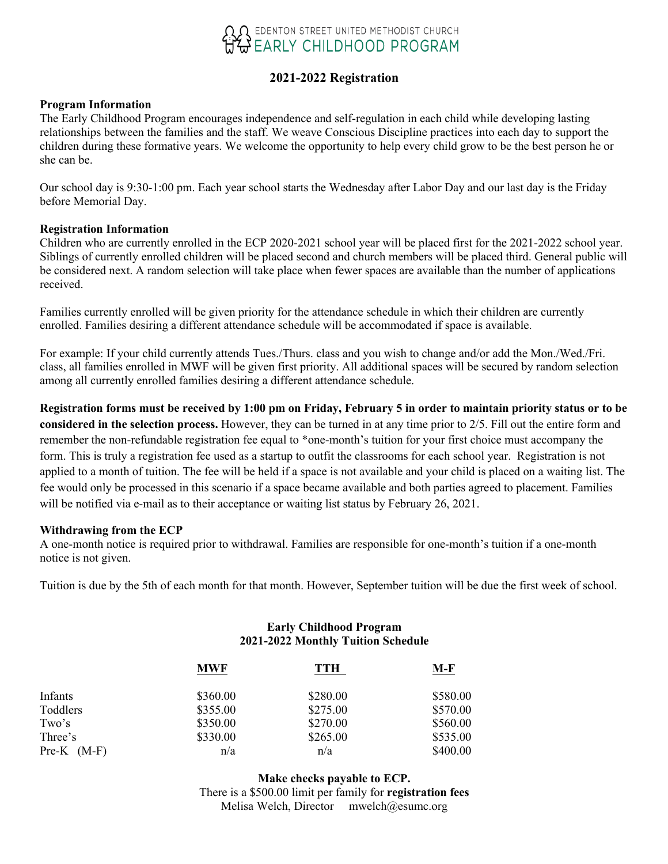

# **2021-2022 Registration**

#### **Program Information**

The Early Childhood Program encourages independence and self-regulation in each child while developing lasting relationships between the families and the staff. We weave Conscious Discipline practices into each day to support the children during these formative years. We welcome the opportunity to help every child grow to be the best person he or she can be.

Our school day is 9:30-1:00 pm. Each year school starts the Wednesday after Labor Day and our last day is the Friday before Memorial Day.

#### **Registration Information**

Children who are currently enrolled in the ECP 2020-2021 school year will be placed first for the 2021-2022 school year. Siblings of currently enrolled children will be placed second and church members will be placed third. General public will be considered next. A random selection will take place when fewer spaces are available than the number of applications received.

Families currently enrolled will be given priority for the attendance schedule in which their children are currently enrolled. Families desiring a different attendance schedule will be accommodated if space is available.

For example: If your child currently attends Tues./Thurs. class and you wish to change and/or add the Mon./Wed./Fri. class, all families enrolled in MWF will be given first priority. All additional spaces will be secured by random selection among all currently enrolled families desiring a different attendance schedule.

**Registration forms must be received by 1:00 pm on Friday, February 5 in order to maintain priority status or to be considered in the selection process.** However, they can be turned in at any time prior to 2/5. Fill out the entire form and remember the non-refundable registration fee equal to \*one-month's tuition for your first choice must accompany the form. This is truly a registration fee used as a startup to outfit the classrooms for each school year. Registration is not applied to a month of tuition. The fee will be held if a space is not available and your child is placed on a waiting list. The fee would only be processed in this scenario if a space became available and both parties agreed to placement. Families will be notified via e-mail as to their acceptance or waiting list status by February 26, 2021.

#### **Withdrawing from the ECP**

A one-month notice is required prior to withdrawal. Families are responsible for one-month's tuition if a one-month notice is not given.

Tuition is due by the 5th of each month for that month. However, September tuition will be due the first week of school.

## **Early Childhood Program 2021-2022 Monthly Tuition Schedule**

|               | <b>MWF</b> | TTH      | <u>M-F</u> |
|---------------|------------|----------|------------|
| Infants       | \$360.00   | \$280.00 | \$580.00   |
| Toddlers      | \$355.00   | \$275.00 | \$570.00   |
| Two's         | \$350.00   | \$270.00 | \$560.00   |
| Three's       | \$330.00   | \$265.00 | \$535.00   |
| $Pre-K (M-F)$ | n/a        | n/a      | \$400.00   |

**Make checks payable to ECP.** There is a \$500.00 limit per family for **registration fees** Melisa Welch, Director mwelch@esumc.org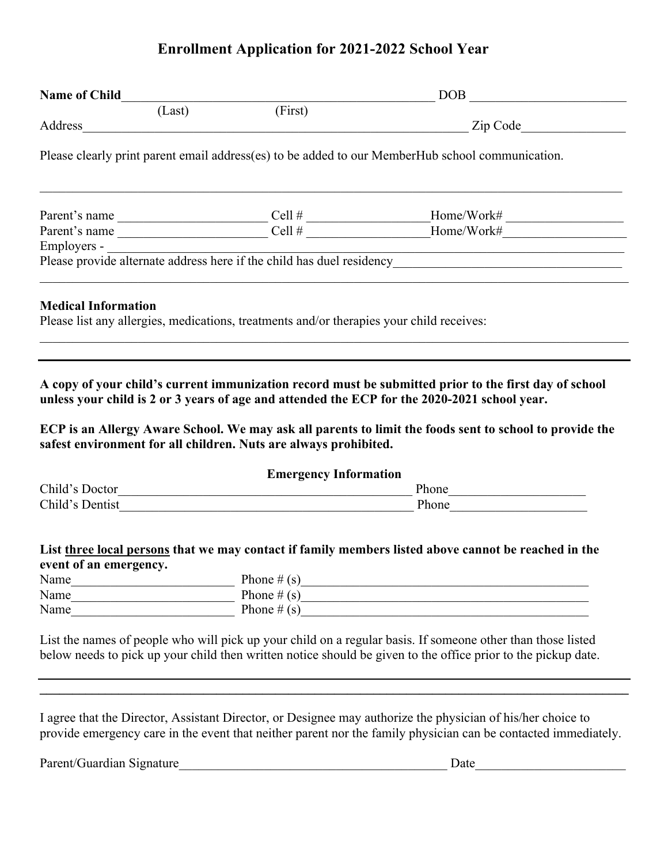# **Enrollment Application for 2021-2022 School Year**

|                            |                                              |                                                                                          | $\boxed{\text{DOB}}_{\text{max}}$                                                                                                                                                                                                                                                                                |  |  |  |
|----------------------------|----------------------------------------------|------------------------------------------------------------------------------------------|------------------------------------------------------------------------------------------------------------------------------------------------------------------------------------------------------------------------------------------------------------------------------------------------------------------|--|--|--|
|                            |                                              | (Last) (First)                                                                           |                                                                                                                                                                                                                                                                                                                  |  |  |  |
|                            |                                              |                                                                                          |                                                                                                                                                                                                                                                                                                                  |  |  |  |
|                            |                                              |                                                                                          | Please clearly print parent email address(es) to be added to our MemberHub school communication.                                                                                                                                                                                                                 |  |  |  |
|                            |                                              |                                                                                          |                                                                                                                                                                                                                                                                                                                  |  |  |  |
|                            |                                              |                                                                                          |                                                                                                                                                                                                                                                                                                                  |  |  |  |
|                            |                                              |                                                                                          |                                                                                                                                                                                                                                                                                                                  |  |  |  |
|                            |                                              |                                                                                          |                                                                                                                                                                                                                                                                                                                  |  |  |  |
| <b>Medical Information</b> |                                              | Please list any allergies, medications, treatments and/or therapies your child receives: |                                                                                                                                                                                                                                                                                                                  |  |  |  |
|                            |                                              | safest environment for all children. Nuts are always prohibited.                         | A copy of your child's current immunization record must be submitted prior to the first day of school<br>unless your child is 2 or 3 years of age and attended the ECP for the 2020-2021 school year.<br>ECP is an Allergy Aware School. We may ask all parents to limit the foods sent to school to provide the |  |  |  |
|                            |                                              | <b>Emergency Information</b>                                                             |                                                                                                                                                                                                                                                                                                                  |  |  |  |
|                            |                                              |                                                                                          |                                                                                                                                                                                                                                                                                                                  |  |  |  |
|                            |                                              |                                                                                          |                                                                                                                                                                                                                                                                                                                  |  |  |  |
| event of an emergency.     |                                              |                                                                                          | List three local persons that we may contact if family members listed above cannot be reached in the                                                                                                                                                                                                             |  |  |  |
| Name                       | the control of the control of the control of | Phone $\#(s)$                                                                            | <u> 1989 - Paris Amerikaanse konstantinoplerin (h. 1989)</u>                                                                                                                                                                                                                                                     |  |  |  |
| Name<br>Name               |                                              | Phone $#(s)$                                                                             |                                                                                                                                                                                                                                                                                                                  |  |  |  |
|                            |                                              |                                                                                          |                                                                                                                                                                                                                                                                                                                  |  |  |  |
|                            |                                              |                                                                                          | List the names of people who will pick up your child on a regular basis. If someone other than those listed<br>below needs to pick up your child then written notice should be given to the office prior to the pickup date.                                                                                     |  |  |  |
|                            |                                              |                                                                                          | I agree that the Director, Assistant Director, or Designee may authorize the physician of his/her choice to<br>provide emergency care in the event that neither parent nor the family physician can be contacted immediately.                                                                                    |  |  |  |

Parent/Guardian Signature\_\_\_\_\_\_\_\_\_\_\_\_\_\_\_\_\_\_\_\_\_\_\_\_\_\_\_\_\_\_\_\_\_\_\_\_\_\_\_\_\_ Date\_\_\_\_\_\_\_\_\_\_\_\_\_\_\_\_\_\_\_\_\_\_\_